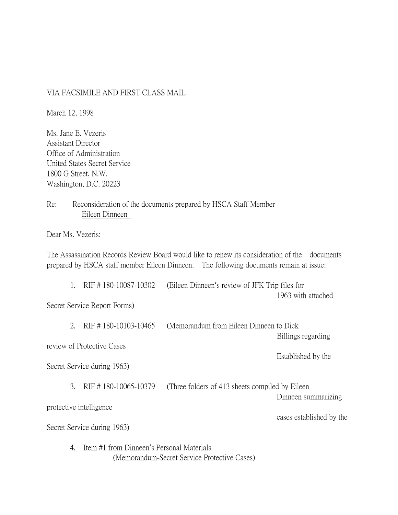## VIA FACSIMILE AND FIRST CLASS MAIL

March 12, 1998

Ms. Jane E. Vezeris Assistant Director Office of Administration United States Secret Service 1800 G Street, N.W. Washington, D.C. 20223

Re: Reconsideration of the documents prepared by HSCA Staff Member Eileen Dinneen

Dear Ms. Vezeris:

The Assassination Records Review Board would like to renew its consideration of the documents prepared by HSCA staff member Eileen Dinneen. The following documents remain at issue:

|                                                         |                                                                                                 | RIF #180-10087-10302 | (Eileen Dinneen's review of JFK Trip files for   |                     |
|---------------------------------------------------------|-------------------------------------------------------------------------------------------------|----------------------|--------------------------------------------------|---------------------|
|                                                         |                                                                                                 |                      |                                                  | 1963 with attached  |
| Secret Service Report Forms)                            |                                                                                                 |                      |                                                  |                     |
|                                                         | $2_{\cdot}$                                                                                     | RIF #180-10103-10465 | (Memorandum from Eileen Dinneen to Dick)         | Billings regarding  |
| review of Protective Cases                              |                                                                                                 |                      |                                                  |                     |
|                                                         |                                                                                                 |                      |                                                  | Established by the  |
| Secret Service during 1963)                             |                                                                                                 |                      |                                                  |                     |
|                                                         | $\mathcal{E}_{\mathcal{L}}$                                                                     | RIF #180-10065-10379 | (Three folders of 413 sheets compiled by Eileen) |                     |
|                                                         |                                                                                                 |                      |                                                  | Dinneen summarizing |
| protective intelligence                                 |                                                                                                 |                      |                                                  |                     |
| cases established by the<br>Secret Service during 1963) |                                                                                                 |                      |                                                  |                     |
|                                                         | Item #1 from Dinneen's Personal Materials<br>4.<br>(Memorandum-Secret Service Protective Cases) |                      |                                                  |                     |